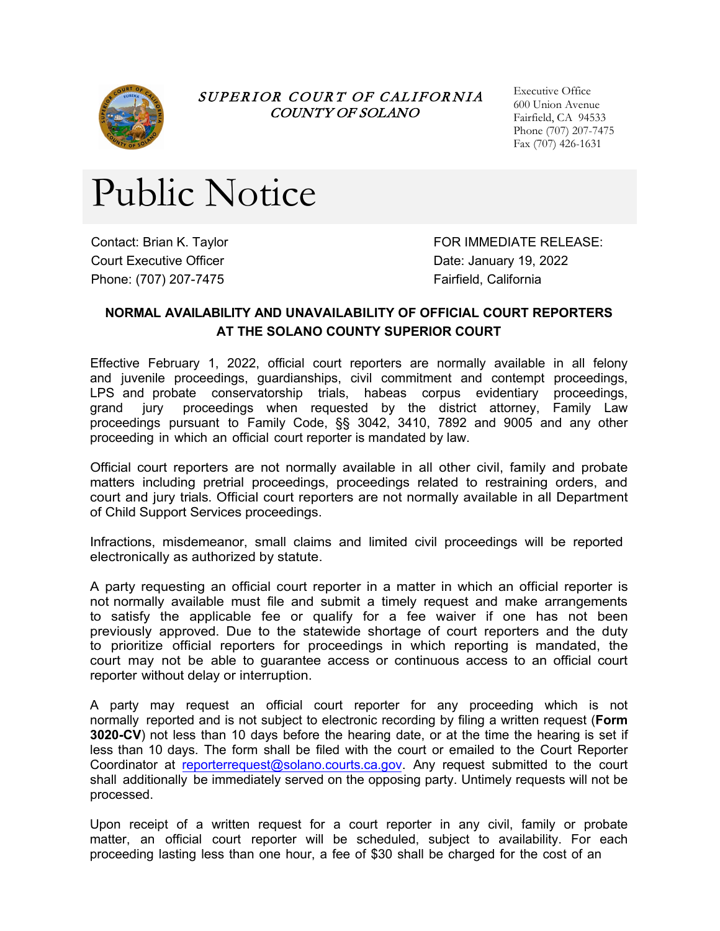

SUPERIOR COURT OF CALIFORNIA COUNTY OF SOLANO

Executive Office 600 Union Avenue Fairfield, CA 94533 Phone (707) 207-7475 Fax (707) 426-1631

## Public Notice

Contact: Brian K. Taylor Court Executive Officer Phone: (707) 207-7475

FOR IMMEDIATE RELEASE: Date: January 19, 2022 Fairfield, California

## **NORMAL AVAILABILITY AND UNAVAILABILITY OF OFFICIAL COURT REPORTERS AT THE SOLANO COUNTY SUPERIOR COURT**

Effective February 1, 2022, official court reporters are normally available in all felony and juvenile proceedings, guardianships, civil commitment and contempt proceedings, LPS and probate conservatorship trials, habeas corpus evidentiary proceedings, grand jury proceedings when requested by the district attorney, Family Law proceedings pursuant to Family Code, §§ 3042, 3410, 7892 and 9005 and any other proceeding in which an official court reporter is mandated by law.

Official court reporters are not normally available in all other civil, family and probate matters including pretrial proceedings, proceedings related to restraining orders, and court and jury trials. Official court reporters are not normally available in all Department of Child Support Services proceedings.

Infractions, misdemeanor, small claims and limited civil proceedings will be reported electronically as authorized by statute.

A party requesting an official court reporter in a matter in which an official reporter is not normally available must file and submit a timely request and make arrangements to satisfy the applicable fee or qualify for a fee waiver if one has not been previously approved. Due to the statewide shortage of court reporters and the duty to prioritize official reporters for proceedings in which reporting is mandated, the court may not be able to guarantee access or continuous access to an official court reporter without delay or interruption.

A party may request an official court reporter for any proceeding which is not normally reported and is not subject to electronic recording by filing a written request (**Form 3020-CV**) not less than 10 days before the hearing date, or at the time the hearing is set if less than 10 days. The form shall be filed with the court or emailed to the Court Reporter [Coordinator at reporterrequest@solan](mailto:reporterrequest@solano.courts.ca.gov)o.courts.ca.gov. Any request submitted to the court shall additionally be immediately served on the opposing party. Untimely requests will not be processed.

Upon receipt of a written request for a court reporter in any civil, family or probate matter, an official court reporter will be scheduled, subject to availability. For each proceeding lasting less than one hour, a fee of \$30 shall be charged for the cost of an